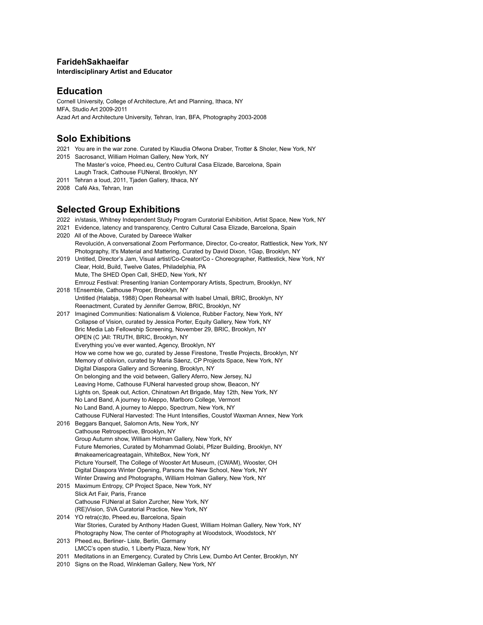#### **FaridehSakhaeifar**

**Interdisciplinary Artist and Educator**

## **Education**

Cornell University, College of Architecture, Art and Planning, Ithaca, NY MFA, Studio Art 2009-2011 Azad Art and Architecture University, Tehran, Iran, BFA, Photography 2003-2008

## **Solo Exhibitions**

- 2021 You are in the war zone. Curated by Klaudia Ofwona Draber, Trotter & Sholer, New York, NY
- 2015 Sacrosanct, William Holman Gallery, New York, NY The Master's voice, Pheed.eu, Centro Cultural Casa Elizade, Barcelona, Spain Laugh Track, Cathouse FUNeral, Brooklyn, NY
- 2011 Tehran a loud, 2011, Tjaden Gallery, Ithaca, NY
- 2008 Café Aks, Tehran, Iran

# **Selected Group Exhibitions**

- 2022 in/stasis, Whitney Independent Study Program Curatorial Exhibition, Artist Space, New York, NY
- 2021 Evidence, latency and transparency, Centro Cultural Casa Elizade, Barcelona, Spain
- 2020 All of the Above, Curated by Dareece Walker Revolución, A conversational Zoom Performance, Director, Co-creator, Rattlestick, New York, NY Photography, It's Material and Mattering, Curated by David Dixon, 1Gap, Brooklyn, NY
- 2019 Untitled, Director's Jam, Visual artist/Co-Creator/Co Choreographer, Rattlestick, New York, NY Clear, Hold, Build, Twelve Gates, Philadelphia, PA Mute, The SHED Open Call, SHED, New York, NY Emrouz Festival: Presenting Iranian Contemporary Artists, Spectrum, Brooklyn, NY
- 2018 1Ensemble, Cathouse Proper, Brooklyn, NY Untitled (Halabja, 1988) Open Rehearsal with Isabel Umali, BRIC, Brooklyn, NY Reenactment, Curated by Jennifer Gerrow, BRIC, Brooklyn, NY
- 2017 Imagined Communities: Nationalism & Violence, Rubber Factory, New York, NY Collapse of Vision, curated by Jessica Porter, Equity Gallery, New York, NY Bric Media Lab Fellowship Screening, November 29, BRIC, Brooklyn, NY OPEN (C )All: TRUTH, BRIC, Brooklyn, NY Everything you've ever wanted, Agency, Brooklyn, NY How we come how we go, curated by Jesse Firestone, Trestle Projects, Brooklyn, NY Memory of oblivion, curated by Maria Sáenz, CP Projects Space, New York, NY Digital Diaspora Gallery and Screening, Brooklyn, NY On belonging and the void between, Gallery Aferro, New Jersey, NJ Leaving Home, Cathouse FUNeral harvested group show, Beacon, NY Lights on, Speak out, Action, Chinatown Art Brigade, May 12th, New York, NY No Land Band, A journey to Aleppo, Marlboro College, Vermont No Land Band, A journey to Aleppo, Spectrum, New York, NY Cathouse FUNeral Harvested: The Hunt Intensifies, Coustof Waxman Annex, New York
- 2016 Beggars Banquet, Salomon Arts, New York, NY Cathouse Retrospective, Brooklyn, NY Group Autumn show, William Holman Gallery, New York, NY Future Memories, Curated by Mohammad Golabi, Pfizer Building, Brooklyn, NY #makeamericagreatagain, WhiteBox, New York, NY Picture Yourself, The College of Wooster Art Museum, (CWAM), Wooster, OH Digital Diaspora Winter Opening, Parsons the New School, New York, NY Winter Drawing and Photographs, William Holman Gallery, New York, NY
- 2015 Maximum Entropy, CP Project Space, New York, NY Slick Art Fair, Paris, France Cathouse FUNeral at Salon Zurcher, New York, NY (RE)Vision, SVA Curatorial Practice, New York, NY
- 2014 YO retra(c)to, Pheed.eu, Barcelona, Spain War Stories, Curated by Anthony Haden Guest, William Holman Gallery, New York, NY Photography Now, The center of Photography at Woodstock, Woodstock, NY
- 2013 Pheed.eu, Berliner- Liste, Berlin, Germany LMCC's open studio, 1 Liberty Plaza, New York, NY
- 2011 Meditations in an Emergency, Curated by Chris Lew, Dumbo Art Center, Brooklyn, NY
- 2010 Signs on the Road, Winkleman Gallery, New York, NY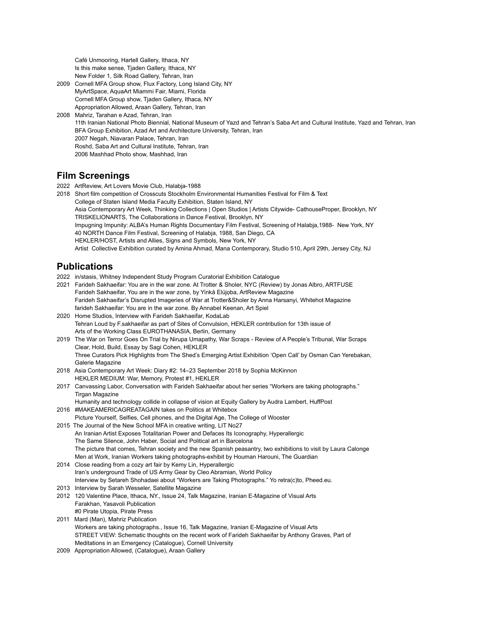Café Unmooring, Hartell Gallery, Ithaca, NY Is this make sense, Tjaden Gallery, Ithaca, NY New Folder 1, Silk Road Gallery, Tehran, Iran

- 2009 Cornell MFA Group show, Flux Factory, Long Island City, NY MyArtSpace, AquaArt Miammi Fair, Miami, Florida Cornell MFA Group show, Tjaden Gallery, Ithaca, NY Appropriation Allowed, Araan Gallery, Tehran, Iran
- 2008 Mahriz, Tarahan e Azad, Tehran, Iran 11th Iranian National Photo Biennial, National Museum of Yazd and Tehran's Saba Art and Cultural Institute, Yazd and Tehran, Iran BFA Group Exhibition, Azad Art and Architecture University, Tehran, Iran 2007 Negah, Niavaran Palace, Tehran, Iran Roshd, Saba Art and Cultural Institute, Tehran, Iran 2006 Mashhad Photo show, Mashhad, Iran

# **Film Screenings**

- 2022 ArtReview, Art Lovers Movie Club, Halabja-1988
- 2018 Short film competition of Crosscuts Stockholm Environmental Humanities Festival for Film & Text College of Staten Island Media Faculty Exhibition, Staten Island, NY Asia Contemporary Art Week, Thinking Collections | Open Studios | Artists Citywide- CathouseProper, Brooklyn, NY TRISKELIONARTS, The Collaborations in Dance Festival, Brooklyn, NY Impugning Impunity: ALBA's Human Rights Documentary Film Festival, Screening of Halabja,1988- New York, NY 40 NORTH Dance Film Festival, Screening of Halabja, 1988, San Diego, CA HEKLER/HOST, Artists and Allies, Signs and Symbols, New York, NY Artist Collective Exhibition curated by Amina Ahmad, Mana Contemporary, Studio 510, April 29th, Jersey City, NJ

# **Publications**

- 2022 in/stasis, Whitney Independent Study Program Curatorial Exhibition Catalogue
- 2021 Farideh Sakhaeifar: You are in the war zone. At Trotter & Sholer, NYC (Review) by Jonas Albro, ARTFUSE Farideh Sakhaeifar, You are in the war zone, by Yinkå Elújọba, ArtReview Magazine Farideh Sakhaeifar's Disrupted Imageries of War at Trotter&Sholer by Anna Harsanyi, Whitehot Magazine farideh Sakhaeifar: You are in the war zone. By Annabel Keenan, Art Spiel
- 2020 Home Studios, Interview with Farideh Sakhaeifar, KodaLab Tehran Loud by F.sakhaeifar as part of Sites of Convulsion, HEKLER contribution for 13th issue of Arts of the Working Class EUROTHANASIA, Berlin, Germany
- 2019 The War on Terror Goes On Trial by Nirupa Umapathy, War Scraps Review of A People's Tribunal, War Scraps Clear, Hold, Build, Essay by Sagi Cohen, HEKLER Three Curators Pick Highlights from The Shed's Emerging Artist Exhibition 'Open Call' by Osman Can Yerebakan, Galerie Magazine
- 2018 Asia Contemporary Art Week: Diary #2: 14–23 September 2018 by Sophia McKinnon HEKLER MEDIUM: War, Memory, Protest #1, HEKLER
- 2017 Canvassing Labor, Conversation with Farideh Sakhaeifar about her series "Workers are taking photographs." Tirgan Magazine

Humanity and technology collide in collapse of vision at Equity Gallery by Audra Lambert, HuffPost 2016 #MAKEAMERICAGREATAGAIN takes on Politics at Whitebox

- Picture Yourself, Selfies, Cell phones, and the Digital Age, The College of Wooster 2015 The Journal of the New School MFA in creative writing, LIT No27 An Iranian Artist Exposes Totalitarian Power and Defaces Its Iconography, Hyperallergic
- The Same Silence, John Haber, Social and Political art in Barcelona The picture that comes, Tehran society and the new Spanish peasantry, two exhibitions to visit by Laura Calonge Men at Work, Iranian Workers taking photographs-exhibit by Houman Harouni, The Guardian 2014 Close reading from a cozy art fair by Kemy Lin, Hyperallergic
- Iran's underground Trade of US Army Gear by Cleo Abramian, World Policy Interview by Setareh Shohadaei about "Workers are Taking Photographs." Yo retra(c)to, Pheed.eu.
- 2013 Interview by Sarah Wesseler, Satellite Magazine
- 2012 120 Valentine Place, Ithaca, NY., Issue 24, Talk Magazine, Iranian E-Magazine of Visual Arts Farakhan, Yasavoli Publication #0 Pirate Utopia, Pirate Press
- 2011 Mard (Man), Mahriz Publication Workers are taking photographs., Issue 16, Talk Magazine, Iranian E-Magazine of Visual Arts STREET VIEW: Schematic thoughts on the recent work of Farideh Sakhaeifar by Anthony Graves, Part of Meditations in an Emergency (Catalogue), Cornell University
- 2009 Appropriation Allowed, (Catalogue), Araan Gallery